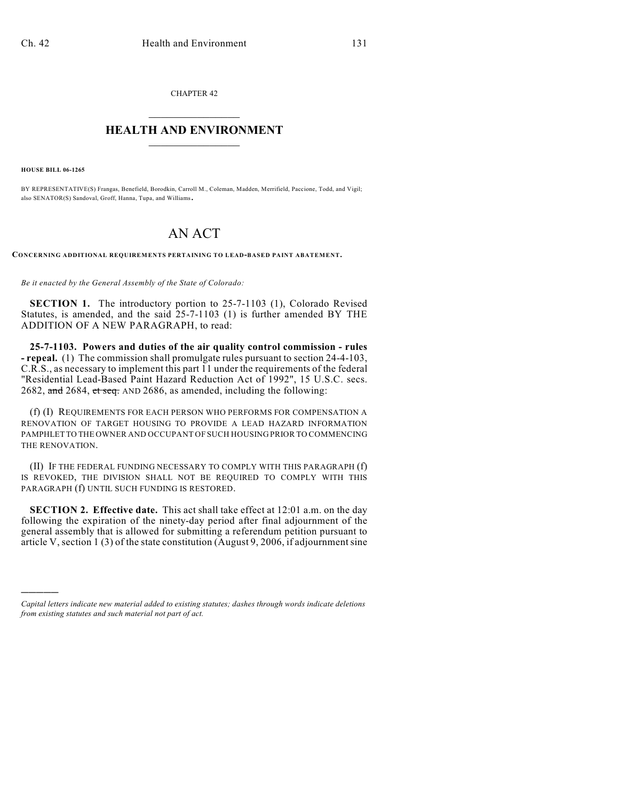CHAPTER 42  $\mathcal{L}_\text{max}$  . The set of the set of the set of the set of the set of the set of the set of the set of the set of the set of the set of the set of the set of the set of the set of the set of the set of the set of the set

## **HEALTH AND ENVIRONMENT**  $\_$

**HOUSE BILL 06-1265**

)))))

BY REPRESENTATIVE(S) Frangas, Benefield, Borodkin, Carroll M., Coleman, Madden, Merrifield, Paccione, Todd, and Vigil; also SENATOR(S) Sandoval, Groff, Hanna, Tupa, and Williams.

## AN ACT

**CONCERNING ADDITIONAL REQUIREMENTS PERTAINING TO LEAD-BASED PAINT ABATEMENT.**

*Be it enacted by the General Assembly of the State of Colorado:*

**SECTION 1.** The introductory portion to 25-7-1103 (1), Colorado Revised Statutes, is amended, and the said 25-7-1103 (1) is further amended BY THE ADDITION OF A NEW PARAGRAPH, to read:

**25-7-1103. Powers and duties of the air quality control commission - rules - repeal.** (1) The commission shall promulgate rules pursuant to section 24-4-103, C.R.S., as necessary to implement this part 11 under the requirements of the federal "Residential Lead-Based Paint Hazard Reduction Act of 1992", 15 U.S.C. secs. 2682, and 2684, et seq. AND 2686, as amended, including the following:

(f) (I) REQUIREMENTS FOR EACH PERSON WHO PERFORMS FOR COMPENSATION A RENOVATION OF TARGET HOUSING TO PROVIDE A LEAD HAZARD INFORMATION PAMPHLET TO THE OWNER AND OCCUPANT OF SUCH HOUSING PRIOR TO COMMENCING THE RENOVATION.

(II) IF THE FEDERAL FUNDING NECESSARY TO COMPLY WITH THIS PARAGRAPH (f) IS REVOKED, THE DIVISION SHALL NOT BE REQUIRED TO COMPLY WITH THIS PARAGRAPH (f) UNTIL SUCH FUNDING IS RESTORED.

**SECTION 2. Effective date.** This act shall take effect at 12:01 a.m. on the day following the expiration of the ninety-day period after final adjournment of the general assembly that is allowed for submitting a referendum petition pursuant to article V, section 1 (3) of the state constitution (August 9, 2006, if adjournment sine

*Capital letters indicate new material added to existing statutes; dashes through words indicate deletions from existing statutes and such material not part of act.*